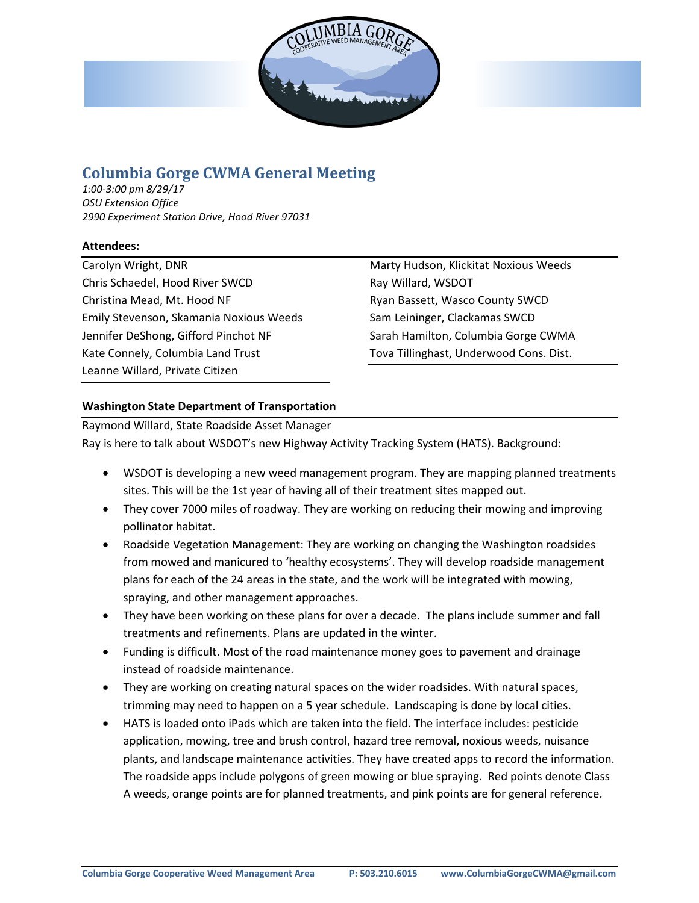

# **Columbia Gorge CWMA General Meeting**

*1:00-3:00 pm 8/29/17 OSU Extension Office 2990 Experiment Station Drive, Hood River 97031*

## **Attendees:**

Carolyn Wright, DNR Chris Schaedel, Hood River SWCD Christina Mead, Mt. Hood NF Emily Stevenson, Skamania Noxious Weeds Jennifer DeShong, Gifford Pinchot NF Kate Connely, Columbia Land Trust Leanne Willard, Private Citizen

Marty Hudson, Klickitat Noxious Weeds Ray Willard, WSDOT Ryan Bassett, Wasco County SWCD Sam Leininger, Clackamas SWCD Sarah Hamilton, Columbia Gorge CWMA Tova Tillinghast, Underwood Cons. Dist.

## **Washington State Department of Transportation**

Raymond Willard, State Roadside Asset Manager Ray is here to talk about WSDOT's new Highway Activity Tracking System (HATS). Background:

- WSDOT is developing a new weed management program. They are mapping planned treatments sites. This will be the 1st year of having all of their treatment sites mapped out.
- They cover 7000 miles of roadway. They are working on reducing their mowing and improving pollinator habitat.
- Roadside Vegetation Management: They are working on changing the Washington roadsides from mowed and manicured to 'healthy ecosystems'. They will develop roadside management plans for each of the 24 areas in the state, and the work will be integrated with mowing, spraying, and other management approaches.
- They have been working on these plans for over a decade. The plans include summer and fall treatments and refinements. Plans are updated in the winter.
- Funding is difficult. Most of the road maintenance money goes to pavement and drainage instead of roadside maintenance.
- They are working on creating natural spaces on the wider roadsides. With natural spaces, trimming may need to happen on a 5 year schedule. Landscaping is done by local cities.
- HATS is loaded onto iPads which are taken into the field. The interface includes: pesticide application, mowing, tree and brush control, hazard tree removal, noxious weeds, nuisance plants, and landscape maintenance activities. They have created apps to record the information. The roadside apps include polygons of green mowing or blue spraying. Red points denote Class A weeds, orange points are for planned treatments, and pink points are for general reference.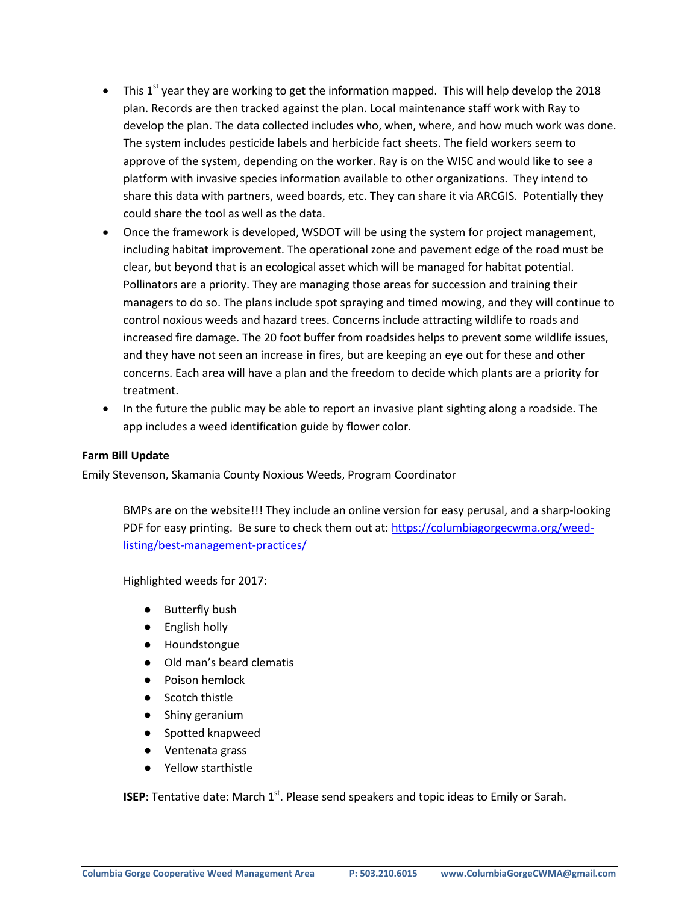- This  $1<sup>st</sup>$  year they are working to get the information mapped. This will help develop the 2018 plan. Records are then tracked against the plan. Local maintenance staff work with Ray to develop the plan. The data collected includes who, when, where, and how much work was done. The system includes pesticide labels and herbicide fact sheets. The field workers seem to approve of the system, depending on the worker. Ray is on the WISC and would like to see a platform with invasive species information available to other organizations. They intend to share this data with partners, weed boards, etc. They can share it via ARCGIS. Potentially they could share the tool as well as the data.
- Once the framework is developed, WSDOT will be using the system for project management, including habitat improvement. The operational zone and pavement edge of the road must be clear, but beyond that is an ecological asset which will be managed for habitat potential. Pollinators are a priority. They are managing those areas for succession and training their managers to do so. The plans include spot spraying and timed mowing, and they will continue to control noxious weeds and hazard trees. Concerns include attracting wildlife to roads and increased fire damage. The 20 foot buffer from roadsides helps to prevent some wildlife issues, and they have not seen an increase in fires, but are keeping an eye out for these and other concerns. Each area will have a plan and the freedom to decide which plants are a priority for treatment.
- In the future the public may be able to report an invasive plant sighting along a roadside. The app includes a weed identification guide by flower color.

#### **Farm Bill Update**

Emily Stevenson, Skamania County Noxious Weeds, Program Coordinator

BMPs are on the website!!! They include an online version for easy perusal, and a sharp-looking PDF for easy printing. Be sure to check them out at: [https://columbiagorgecwma.org/weed](https://columbiagorgecwma.org/weed-listing/best-management-practices/)[listing/best-management-practices/](https://columbiagorgecwma.org/weed-listing/best-management-practices/)

Highlighted weeds for 2017:

- Butterfly bush
- English holly
- Houndstongue
- Old man's beard clematis
- Poison hemlock
- Scotch thistle
- Shiny geranium
- Spotted knapweed
- Ventenata grass
- Yellow starthistle

**ISEP:** Tentative date: March 1<sup>st</sup>. Please send speakers and topic ideas to Emily or Sarah.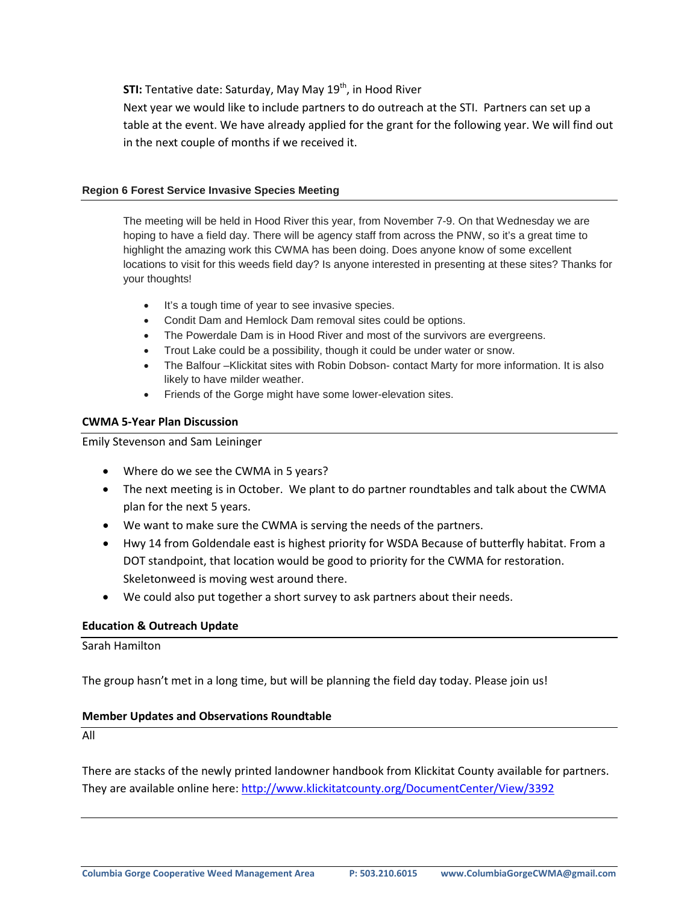**STI:** Tentative date: Saturday, May May 19<sup>th</sup>, in Hood River

Next year we would like to include partners to do outreach at the STI. Partners can set up a table at the event. We have already applied for the grant for the following year. We will find out in the next couple of months if we received it.

#### **Region 6 Forest Service Invasive Species Meeting**

The meeting will be held in Hood River this year, from November 7-9. On that Wednesday we are hoping to have a field day. There will be agency staff from across the PNW, so it's a great time to highlight the amazing work this CWMA has been doing. Does anyone know of some excellent locations to visit for this weeds field day? Is anyone interested in presenting at these sites? Thanks for your thoughts!

- It's a tough time of year to see invasive species.
- Condit Dam and Hemlock Dam removal sites could be options.
- The Powerdale Dam is in Hood River and most of the survivors are evergreens.
- Trout Lake could be a possibility, though it could be under water or snow.
- The Balfour –Klickitat sites with Robin Dobson- contact Marty for more information. It is also likely to have milder weather.
- Friends of the Gorge might have some lower-elevation sites.

## **CWMA 5-Year Plan Discussion**

Emily Stevenson and Sam Leininger

- Where do we see the CWMA in 5 years?
- The next meeting is in October. We plant to do partner roundtables and talk about the CWMA plan for the next 5 years.
- We want to make sure the CWMA is serving the needs of the partners.
- Hwy 14 from Goldendale east is highest priority for WSDA Because of butterfly habitat. From a DOT standpoint, that location would be good to priority for the CWMA for restoration. Skeletonweed is moving west around there.
- We could also put together a short survey to ask partners about their needs.

#### **Education & Outreach Update**

Sarah Hamilton

The group hasn't met in a long time, but will be planning the field day today. Please join us!

#### **Member Updates and Observations Roundtable**

All

There are stacks of the newly printed landowner handbook from Klickitat County available for partners. They are available online here[: http://www.klickitatcounty.org/DocumentCenter/View/3392](http://www.klickitatcounty.org/DocumentCenter/View/3392)